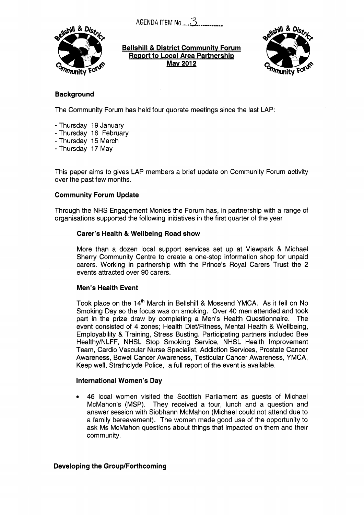AGENDA ITEM No *....3......,.,,,,* 



**Bellshill** & **District Communitv Forum Report to Local Area Partnership Mav 2012** 



# **Background**

The Community Forum has held four quorate meetings since the last LAP:

- Thursday 19 January
- Thursday 16 February
- Thursday 15 March
- Thursday **17** May

This paper aims to gives LAP members a brief update on Community Forum activity over the past few months.

### **Community Forum Update**

Through the NHS Engagement Monies the Forum has, in partnership with a range of organisations supported the following initiatives in the first quarter of the year

#### **Carer's Health & Wellbeing Road show**

More than a dozen local support services set up at Viewpark & Michael Sherry Community Centre to create a one-stop information shop for unpaid carers. Working in partnership with the Prince's Royal Carers Trust the 2 events attracted over 90 carers.

### **Men's Health Event**

Took place on the **14\*** March in Bellshill & Mossend YMCA. As it fell on No Smoking Day so the focus was on smoking. Over 40 men attended and took part in the prize draw by completing a Men's Health Questionnaire. The event consisted of 4 zones; Health DieVFitness, Mental Health & Wellbeing, Employability & Training, Stress Busting. Participating partners included Bee Healthy/NLFF, NHSL Stop Smoking Service, NHSL Health Improvement Team, Cardio Vascular Nurse Specialist, Addiction Services, Prostate Cancer Awareness, Bowel Cancer Awareness, Testicular Cancer Awareness, YMCA, Keep well, Strathclyde Police, a full report of the event is available.

### **International Women's Day**

*<sup>0</sup>*46 local women visited the Scottish Parliament as guests of Michael McMahon's (MSP). They received a tour, lunch and a question and answer session with Siobhann McMahon (Michael could not attend due to a family bereavement). The women made good use of the opportunity to ask Ms McMahon questions about things that impacted on them and their community.

### **Developing the Group/Forthcoming**